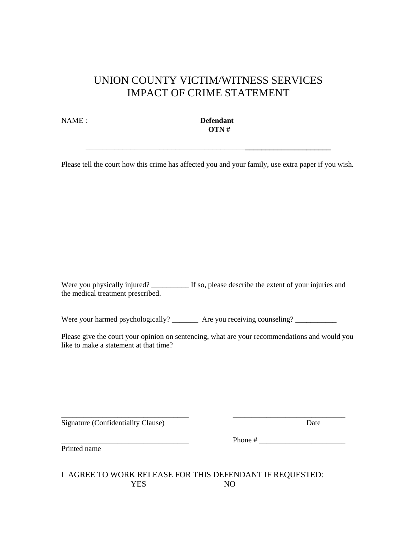# UNION COUNTY VICTIM/WITNESS SERVICES IMPACT OF CRIME STATEMENT

NAME : **Defendant OTN #** 

Please tell the court how this crime has affected you and your family, use extra paper if you wish.

\_\_\_\_\_\_\_\_\_\_\_\_\_\_\_\_\_\_\_\_\_\_\_\_\_\_\_\_\_\_\_\_\_\_\_\_\_\_\_**\_\_\_\_\_\_\_\_\_\_\_\_\_\_\_\_\_\_\_\_\_**

Were you physically injured? \_\_\_\_\_\_\_\_\_\_\_ If so, please describe the extent of your injuries and the medical treatment prescribed.

Were your harmed psychologically? \_\_\_\_\_\_\_\_ Are you receiving counseling? \_\_\_\_\_\_\_\_\_\_\_

Please give the court your opinion on sentencing, what are your recommendations and would you like to make a statement at that time?

\_\_\_\_\_\_\_\_\_\_\_\_\_\_\_\_\_\_\_\_\_\_\_\_\_\_\_\_\_\_\_\_\_\_ \_\_\_\_\_\_\_\_\_\_\_\_\_\_\_\_\_\_\_\_\_\_\_\_\_\_\_\_\_\_

Signature (Confidentiality Clause) Date

Printed name

\_\_\_\_\_\_\_\_\_\_\_\_\_\_\_\_\_\_\_\_\_\_\_\_\_\_\_\_\_\_\_\_\_\_ Phone # \_\_\_\_\_\_\_\_\_\_\_\_\_\_\_\_\_\_\_\_\_\_\_

I AGREE TO WORK RELEASE FOR THIS DEFENDANT IF REQUESTED: YES NO